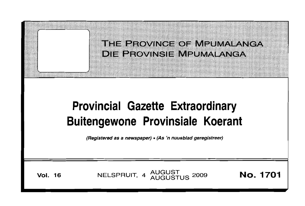THE PROVINCE OF MPUMALANGAY **DIE PROVINSIE MPUMALANGA** 

# **Provincial Gazette Extraordinary Buitengewone Provinsiale Koerant**

(Registered as a newspaper) • (As 'n nuusblad geregistreer)

**Vol. 16 NELSPRUIT, 4 AUGUST 2009 No. 1701**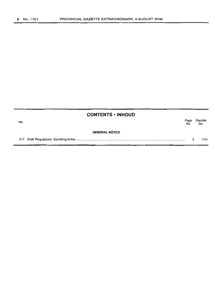$\equiv$ 

| <b>CONTENTS • INHOUD</b> |                       |             |                |
|--------------------------|-----------------------|-------------|----------------|
| No.                      |                       | Page<br>No. | Gazette<br>No. |
|                          | <b>GENERAL NOTICE</b> |             |                |
|                          |                       |             | 1701           |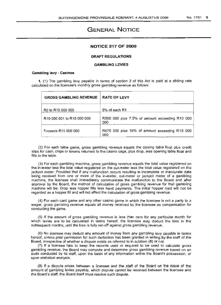# **GENERAL NOTICE**

# **NOTICE 217 OF 2009**

# **DRAFT REGULATIONS**

# **GAMBLING LEVIES**

#### **Gambling levy - Casinos**

1. (1) The gambling levy payable in terms of section 2 of this Act is paid at a sliding rate calculated on the licensee's monthly gross gambling revenue as follows:

| <b>GROSS GAMBLING REVENUE</b>                      | <b>RATE OF LEVY</b>                                   |
|----------------------------------------------------|-------------------------------------------------------|
| R0 to R10 000 000                                  | 5% of each R1                                         |
| R <sub>10</sub> 000 001 to R <sub>15</sub> 000 000 | R500 000 plus 7.5% of amount exceeding R10 000<br>000 |
| Exceeds R15 000 000                                | R875 000 plus 10% of amount exceeding R15 000<br>000  |

(2) For each table game, gross gambling revenue equals the closing table float plus credit slips for cash, chips or tokens returned to the casino cage, plus drop, less opening table float and fills to the table.

(3) For each gambling machine, gross gambling revenue equals the total value registered on the in-meter less the total value registered on the out-meter less the total value registered on the jackpot meter: Provided that if any malfunction occurs resulting in incomplete or inaccurate data being received from one or more of the in-meter, out-meter or jackpot meter of a gambling machine, the licensee shall immediately communicate the malfunction to the Board and after approval by the Board, the method of calculation of gross gambling revenue for that gambling machine will be: Drop less hopper fills less hand payments. The initial hopper load will not be regarded as a hopper fill and will not affect the calculation of gross gambling revenue.

(4) For each card game and any other casino game in which the licensee is not a party to a wager, gross gambling revenue equals all money received by the licensee as compensation for conductinq the game.

(5) If the amount of gross gambling revenue is less than zero for any particular month for which levies are to be calculated in terms hereof, the licensee may deduct the loss in the subsequent months, until the loss is fully set-off against gross gambling revenue.

(6) No licensee may deduct any amount of money from any gambling levy payable in terms hereof, unless prior permission for such deduction has been granted in writing by the staff of the Board, irrespective of whether a dispute exists as referred to in subitem (8) or not.

(7) If a licensee fails to keep the records used or required to be used to calculate gross gambling revenue, the Board may compute and determine gross gambling revenue based on an audit conducted by its staff, upon the basis of any information within the Board's possession, or upon statistical analysis.

(8) If a dispute arises between a licensee and the staff of the Board on the issue of the amount of gambling levies payable, which dispute cannot be resolved between the licensee and the Board's staff, the Board itself must resolve such dispute.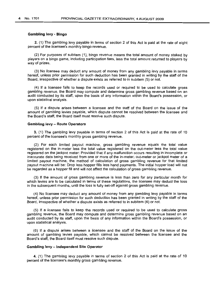# **Gambling levy - Bingo**

2. (1) The gambling levy payable in terms of section 2 of this Act is paid at the rate of eight percent of the licensee's monthly bingo revenue.

(2) For purposes of subitem (1), bingo revenue means the total amount of money staked by players on a bingo game, including participation fees, less the total amount returned to players by way of prizes.

(3) No licensee may deduct any amount of money from any gambling levy payable in terms hereof, unless prior permission for such deduction has been granted in writing by the staff of the Board, irrespective of whether a dispute exists as referred to in subitem (5) or not.

(4) If a licensee fails to keep the records used or required to be used to calculate gross gambling revenue, the Board may compute and determine gross gambling revenue based on an audit conducted by its staff, upon the basis of any information within the Board's possession, or upon statistical analysis.

(5) If a dispute arises between a licensee and the staff of the Board on the issue of the amount of gambling levies payable, which dispute cannot be resolved between the licensee and the Board's staff, the Board itself must resolve such dispute.

#### **Gambling levy - Route Operators**

3. (1) The gambling levy payable in terms of section 2 of this Act is paid at the rate of 10 percent of the licensee's monthly gross gambling revenue.

(2) For each limited payout machine, gross gambling revenue equals the total value registered on the in-meter less the total value registered on the out-meter less the total value registered on the jackpot meter: Provided that if any malfunction occurs resulting in incomplete or inaccurate data being received from one or more of the in-meter, out-meter or jackpot meter of a limited payout machine, the method of calculation of gross gambling revenue for that limited payout machine will be: Drop less hopper fills less hand payments. The initial hopper load will not be regarded as a hopper fill and will not affect the calculation of gross gambling revenue.

(3) If the amount of gross gambling revenue is less than zero for any particular month for which levies are to be calculated in terms of these regulations, the licensee may deduct the loss in the subsequent months, until the loss is fully set-off against gross gambling revenue.

(4) No licensee may deduct any amount of money from any gambling levy payable in terms hereof, unless prior permission for such deduction has been granted in writing by the staff of the Board, irrespective of whether a dispute exists as referred to in subitem (6) or not.

(5) If a licensee fails to keep the records used or required to be used to calculate gross gambling revenue, the Board may compute and determine gross gambling revenue based on an audit conducted by its staff, upon the basis of any information within the Board's possession, or upon statistical analysis.

(6) If a dispute arises between a licensee and the staff of the Board on the issue of the amount of gambling levies payable, which cannot be resolved between the licensee and the Board's staff, the Board itself must resolve such dispute.

# **Gambling levy - Independent Site Operator**

4. (1) The gambling levy payable in terms of section 2 of this Act is paid at the rate of 10 percent of the licensee's monthly gross gambling revenue.